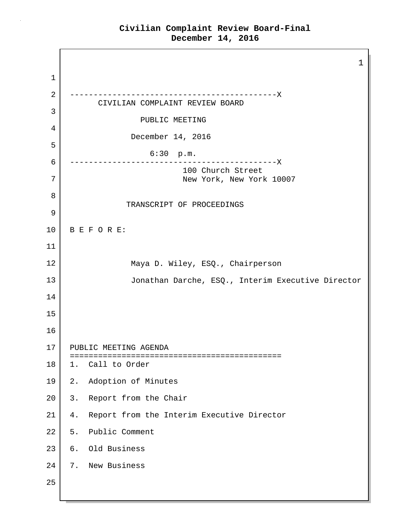1 1 2 --------------------------------------------X CIVILIAN COMPLAINT REVIEW BOARD 3 PUBLIC MEETING 4 December 14, 2016 5 6:30 p.m. 6 --------------------------------------------X 100 Church Street 7 New York, New York 10007 8 TRANSCRIPT OF PROCEEDINGS 9 10 B E F O R E: 11 12 Maya D. Wiley, ESQ., Chairperson 13 Jonathan Darche, ESQ., Interim Executive Director 14 15 16 17 | PUBLIC MEETING AGENDA ============================================= 18 | 1. Call to Order 19 2. Adoption of Minutes 20 3. Report from the Chair 21 | 4. Report from the Interim Executive Director 22 5. Public Comment 23 6. Old Business 24 7. New Business 25

#### **Civilian Complaint Review Board-Final December 14, 2016**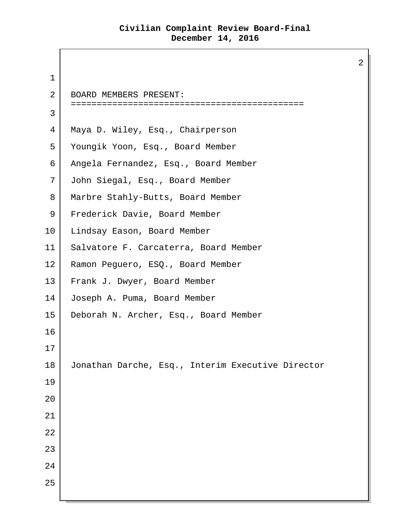2 1 2 BOARD MEMBERS PRESENT: ============================================= 3 4 Maya D. Wiley, Esq., Chairperson 5 Youngik Yoon, Esq., Board Member 6 Angela Fernandez, Esq., Board Member 7 John Siegal, Esq., Board Member 8 | Marbre Stahly-Butts, Board Member 9 | Frederick Davie, Board Member 10 Lindsay Eason, Board Member 11 Salvatore F. Carcaterra, Board Member 12 | Ramon Peguero, ESQ., Board Member 13 Frank J. Dwyer, Board Member 14 Joseph A. Puma, Board Member 15 Deborah N. Archer, Esq., Board Member 16 17 18 Jonathan Darche, Esq., Interim Executive Director 19 20 21 22 23 24 25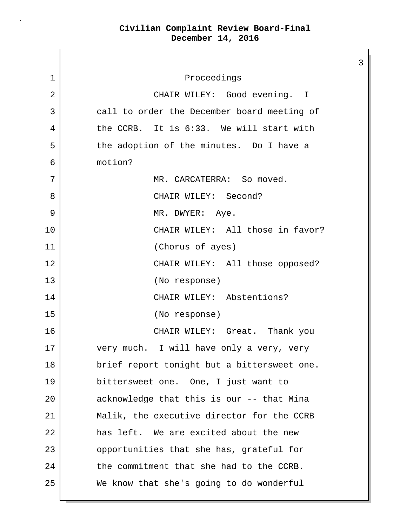$\mathsf{I}$ 

|             |                                             | 3 |
|-------------|---------------------------------------------|---|
| $\mathbf 1$ | Proceedings                                 |   |
| 2           | CHAIR WILEY: Good evening. I                |   |
| 3           | call to order the December board meeting of |   |
| 4           | the CCRB. It is 6:33. We will start with    |   |
| 5           | the adoption of the minutes. Do I have a    |   |
| 6           | motion?                                     |   |
| 7           | MR. CARCATERRA: So moved.                   |   |
| 8           | CHAIR WILEY: Second?                        |   |
| 9           | MR. DWYER: Aye.                             |   |
| 10          | CHAIR WILEY: All those in favor?            |   |
| 11          | (Chorus of ayes)                            |   |
| 12          | CHAIR WILEY: All those opposed?             |   |
| 13          | (No response)                               |   |
| 14          | CHAIR WILEY: Abstentions?                   |   |
| 15          | (No response)                               |   |
| 16          | CHAIR WILEY: Great. Thank you               |   |
| 17          | very much. I will have only a very, very    |   |
| 18          | brief report tonight but a bittersweet one. |   |
| 19          | bittersweet one. One, I just want to        |   |
| 20          | acknowledge that this is our -- that Mina   |   |
| 21          | Malik, the executive director for the CCRB  |   |
| 22          | has left. We are excited about the new      |   |
| 23          | opportunities that she has, grateful for    |   |
| 24          | the commitment that she had to the CCRB.    |   |
| 25          | We know that she's going to do wonderful    |   |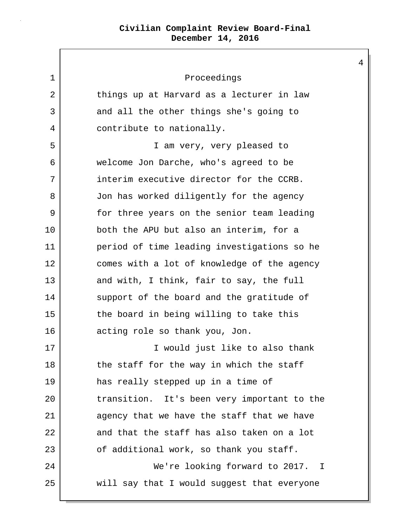| 1  | Proceedings                                 |
|----|---------------------------------------------|
| 2  | things up at Harvard as a lecturer in law   |
| 3  | and all the other things she's going to     |
| 4  | contribute to nationally.                   |
| 5  | I am very, very pleased to                  |
| 6  | welcome Jon Darche, who's agreed to be      |
| 7  | interim executive director for the CCRB.    |
| 8  | Jon has worked diligently for the agency    |
| 9  | for three years on the senior team leading  |
| 10 | both the APU but also an interim, for a     |
| 11 | period of time leading investigations so he |
| 12 | comes with a lot of knowledge of the agency |
| 13 | and with, I think, fair to say, the full    |
| 14 | support of the board and the gratitude of   |
| 15 | the board in being willing to take this     |
| 16 | acting role so thank you, Jon.              |
| 17 | I would just like to also thank             |
| 18 | the staff for the way in which the staff    |
| 19 | has really stepped up in a time of          |
| 20 | transition. It's been very important to the |
| 21 | agency that we have the staff that we have  |
| 22 | and that the staff has also taken on a lot  |
| 23 | of additional work, so thank you staff.     |
| 24 | We're looking forward to 2017. I            |
| 25 | will say that I would suggest that everyone |

 $\mathsf{L}$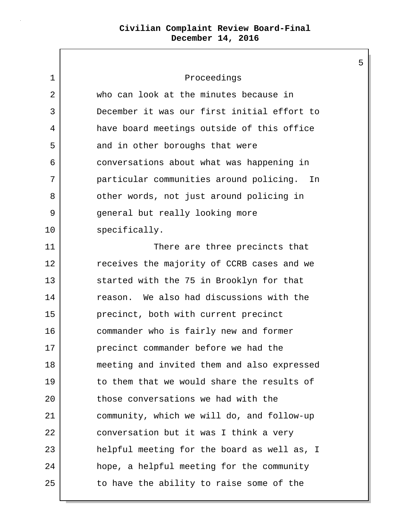$\mathbf{I}$ 

| 1  | Proceedings                                 |
|----|---------------------------------------------|
| 2  | who can look at the minutes because in      |
| 3  | December it was our first initial effort to |
| 4  | have board meetings outside of this office  |
| 5  | and in other boroughs that were             |
| 6  | conversations about what was happening in   |
| 7  | particular communities around policing. In  |
| 8  | other words, not just around policing in    |
| 9  | general but really looking more             |
| 10 | specifically.                               |
| 11 | There are three precincts that              |
| 12 | receives the majority of CCRB cases and we  |
| 13 | started with the 75 in Brooklyn for that    |
| 14 | reason. We also had discussions with the    |
| 15 | precinct, both with current precinct        |
| 16 | commander who is fairly new and former      |
| 17 | precinct commander before we had the        |
| 18 | meeting and invited them and also expressed |
| 19 | to them that we would share the results of  |
| 20 | those conversations we had with the         |
| 21 | community, which we will do, and follow-up  |
| 22 | conversation but it was I think a very      |
| 23 | helpful meeting for the board as well as, I |
| 24 | hope, a helpful meeting for the community   |
| 25 | to have the ability to raise some of the    |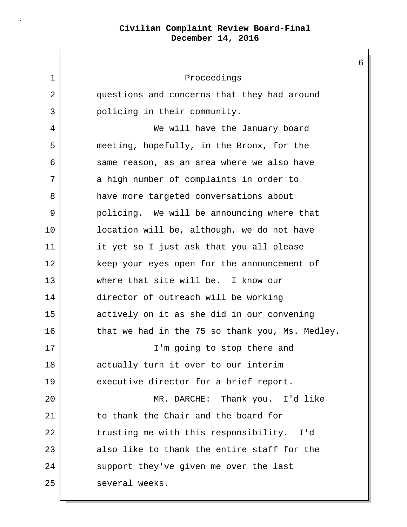1 Proceedings 2 questions and concerns that they had around 3 policing in their community. 4 We will have the January board 5 meeting, hopefully, in the Bronx, for the 6 same reason, as an area where we also have 7 a high number of complaints in order to 8 have more targeted conversations about 9 policing. We will be announcing where that 10 | location will be, although, we do not have 11 it yet so I just ask that you all please 12 keep your eyes open for the announcement of 13 where that site will be. I know our 14 director of outreach will be working 15 actively on it as she did in our convening 16 that we had in the 75 so thank you, Ms. Medley. 17 | I'm going to stop there and 18 actually turn it over to our interim 19 executive director for a brief report. 20 | KR. DARCHE: Thank you. I'd like 21 to thank the Chair and the board for 22 trusting me with this responsibility. I'd 23 also like to thank the entire staff for the 24 support they've given me over the last 25 several weeks.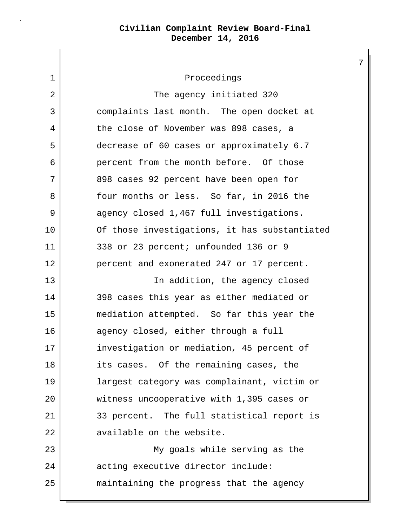1 Proceedings 2 | The agency initiated 320 3 complaints last month. The open docket at 4 the close of November was 898 cases, a 5 decrease of 60 cases or approximately 6.7 6 percent from the month before. Of those 7 898 cases 92 percent have been open for 8 Solut months or less. So far, in 2016 the 9 agency closed 1,467 full investigations. 10 Of those investigations, it has substantiated 11 338 or 23 percent; unfounded 136 or 9 12 percent and exonerated 247 or 17 percent. 13 | The addition, the agency closed 14 398 cases this year as either mediated or 15 mediation attempted. So far this year the 16 agency closed, either through a full 17 investigation or mediation, 45 percent of 18 its cases. Of the remaining cases, the 19 largest category was complainant, victim or 20 witness uncooperative with 1,395 cases or 21 33 percent. The full statistical report is 22 available on the website. 23 My goals while serving as the 24 acting executive director include: 25 maintaining the progress that the agency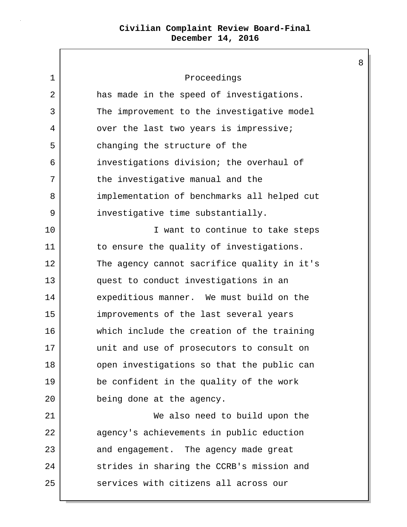$\Gamma$ 

| 1  | Proceedings                                 |
|----|---------------------------------------------|
| 2  | has made in the speed of investigations.    |
| 3  | The improvement to the investigative model  |
| 4  | over the last two years is impressive;      |
| 5  | changing the structure of the               |
| 6  | investigations division; the overhaul of    |
| 7  | the investigative manual and the            |
| 8  | implementation of benchmarks all helped cut |
| 9  | investigative time substantially.           |
| 10 | I want to continue to take steps            |
| 11 | to ensure the quality of investigations.    |
| 12 | The agency cannot sacrifice quality in it's |
| 13 | quest to conduct investigations in an       |
| 14 | expeditious manner. We must build on the    |
| 15 | improvements of the last several years      |
| 16 | which include the creation of the training  |
| 17 | unit and use of prosecutors to consult on   |
| 18 | open investigations so that the public can  |
| 19 | be confident in the quality of the work     |
| 20 | being done at the agency.                   |
| 21 | We also need to build upon the              |
| 22 | agency's achievements in public eduction    |
| 23 | and engagement. The agency made great       |
| 24 | strides in sharing the CCRB's mission and   |
| 25 | services with citizens all across our       |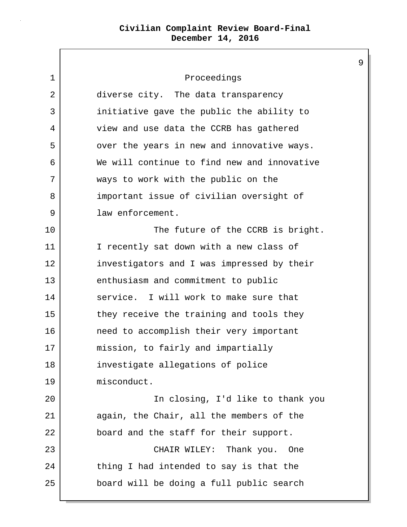$\mathsf{I}$ 

| Proceedings                                 |
|---------------------------------------------|
| diverse city. The data transparency         |
| initiative gave the public the ability to   |
| view and use data the CCRB has gathered     |
| over the years in new and innovative ways.  |
| We will continue to find new and innovative |
| ways to work with the public on the         |
| important issue of civilian oversight of    |
| law enforcement.                            |
| The future of the CCRB is bright.           |
| I recently sat down with a new class of     |
| investigators and I was impressed by their  |
| enthusiasm and commitment to public         |
| service. I will work to make sure that      |
| they receive the training and tools they    |
| need to accomplish their very important     |
| mission, to fairly and impartially          |
| investigate allegations of police           |
| misconduct.                                 |
| In closing, I'd like to thank you           |
| again, the Chair, all the members of the    |
| board and the staff for their support.      |
| CHAIR WILEY: Thank you.<br>One              |
| thing I had intended to say is that the     |
| board will be doing a full public search    |
|                                             |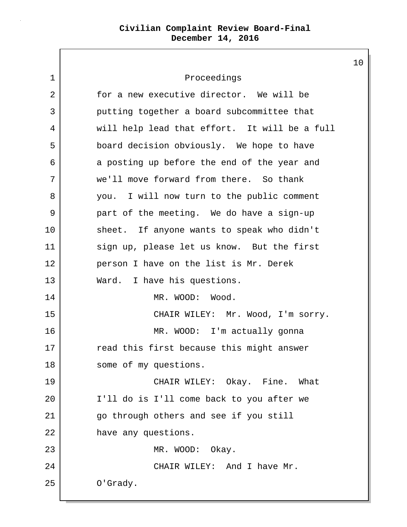1 Proceedings 2 for a new executive director. We will be 3 putting together a board subcommittee that 4 will help lead that effort. It will be a full 5 board decision obviously. We hope to have 6 a posting up before the end of the year and 7 we'll move forward from there. So thank 8 you. I will now turn to the public comment 9 part of the meeting. We do have a sign-up 10 sheet. If anyone wants to speak who didn't 11 sign up, please let us know. But the first 12 person I have on the list is Mr. Derek 13 Ward. I have his questions. 14 MR. WOOD: Wood. 15 CHAIR WILEY: Mr. Wood, I'm sorry. 16 MR. WOOD: I'm actually gonna 17 read this first because this might answer 18 some of my questions. 19 CHAIR WILEY: Okay. Fine. What 20 I'll do is I'll come back to you after we 21 go through others and see if you still 22 have any questions. 23 MR. WOOD: Okay. 24 CHAIR WILEY: And I have Mr. 25 O'Grady.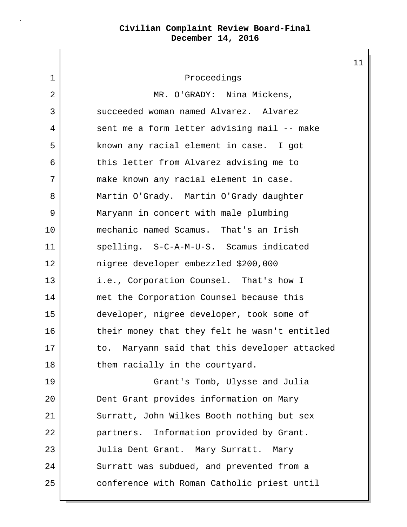1 Proceedings 2 MR. O'GRADY: Nina Mickens, 3 succeeded woman named Alvarez. Alvarez 4 sent me a form letter advising mail -- make 5 known any racial element in case. I got 6 this letter from Alvarez advising me to 7 make known any racial element in case. 8 Martin O'Grady. Martin O'Grady daughter 9 Maryann in concert with male plumbing 10 mechanic named Scamus. That's an Irish 11 spelling. S-C-A-M-U-S. Scamus indicated 12 nigree developer embezzled \$200,000 13 i.e., Corporation Counsel. That's how I 14 met the Corporation Counsel because this 15 developer, nigree developer, took some of 16 their money that they felt he wasn't entitled 17 to. Maryann said that this developer attacked 18 them racially in the courtyard. 19 Grant's Tomb, Ulysse and Julia 20 **Dent Grant provides information on Mary** 21 Surratt, John Wilkes Booth nothing but sex 22 **partners.** Information provided by Grant. 23 Julia Dent Grant. Mary Surratt. Mary 24 Surratt was subdued, and prevented from a 25 conference with Roman Catholic priest until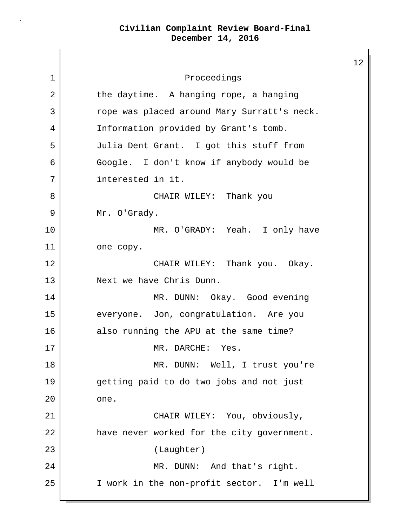$\mathsf{I}$ 

|    |                                             | $\mathbf 1$ |
|----|---------------------------------------------|-------------|
| 1  | Proceedings                                 |             |
| 2  | the daytime. A hanging rope, a hanging      |             |
| 3  | rope was placed around Mary Surratt's neck. |             |
| 4  | Information provided by Grant's tomb.       |             |
| 5  | Julia Dent Grant. I got this stuff from     |             |
| 6  | Google. I don't know if anybody would be    |             |
| 7  | interested in it.                           |             |
| 8  | CHAIR WILEY: Thank you                      |             |
| 9  | Mr. O'Grady.                                |             |
| 10 | MR. O'GRADY: Yeah. I only have              |             |
| 11 | one copy.                                   |             |
| 12 | CHAIR WILEY: Thank you. Okay.               |             |
| 13 | Next we have Chris Dunn.                    |             |
| 14 | MR. DUNN: Okay. Good evening                |             |
| 15 | everyone. Jon, congratulation. Are you      |             |
| 16 | also running the APU at the same time?      |             |
| 17 | MR. DARCHE:<br>Yes.                         |             |
| 18 | MR. DUNN: Well, I trust you're              |             |
| 19 | getting paid to do two jobs and not just    |             |
| 20 | one.                                        |             |
| 21 | CHAIR WILEY: You, obviously,                |             |
| 22 | have never worked for the city government.  |             |
| 23 | (Laughter)                                  |             |
| 24 | MR. DUNN: And that's right.                 |             |
| 25 | I work in the non-profit sector. I'm well   |             |
|    |                                             |             |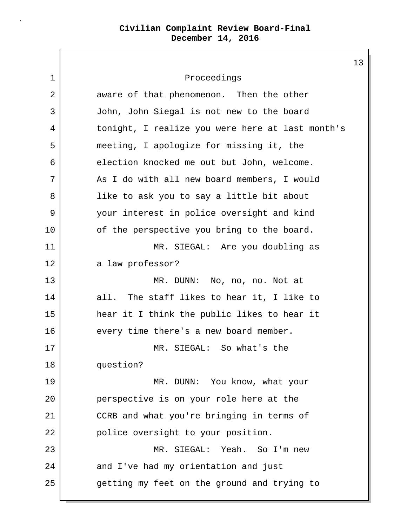13 1 Proceedings 2 aware of that phenomenon. Then the other 3 John, John Siegal is not new to the board 4 tonight, I realize you were here at last month's 5 meeting, I apologize for missing it, the 6 election knocked me out but John, welcome. 7 As I do with all new board members, I would 8 | like to ask you to say a little bit about 9 your interest in police oversight and kind 10 of the perspective you bring to the board. 11 | MR. SIEGAL: Are you doubling as 12 a law professor? 13 MR. DUNN: No, no, no. Not at 14 all. The staff likes to hear it, I like to 15 hear it I think the public likes to hear it 16 every time there's a new board member. 17 MR. SIEGAL: So what's the 18 question? 19 MR. DUNN: You know, what your 20 perspective is on your role here at the 21 CCRB and what you're bringing in terms of 22 police oversight to your position. 23 MR. SIEGAL: Yeah. So I'm new 24 and I've had my orientation and just 25 getting my feet on the ground and trying to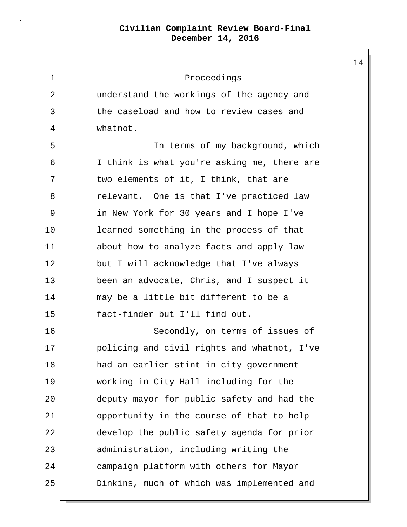| 1  | Proceedings                                 |
|----|---------------------------------------------|
| 2  | understand the workings of the agency and   |
| 3  | the caseload and how to review cases and    |
| 4  | whatnot.                                    |
| 5  | In terms of my background, which            |
| 6  | I think is what you're asking me, there are |
| 7  | two elements of it, I think, that are       |
| 8  | relevant. One is that I've practiced law    |
| 9  | in New York for 30 years and I hope I've    |
| 10 | learned something in the process of that    |
| 11 | about how to analyze facts and apply law    |
| 12 | but I will acknowledge that I've always     |
| 13 | been an advocate, Chris, and I suspect it   |
| 14 | may be a little bit different to be a       |
| 15 | fact-finder but I'll find out.              |
| 16 | Secondly, on terms of issues of             |
| 17 | policing and civil rights and whatnot, I've |
| 18 | had an earlier stint in city government     |
| 19 | working in City Hall including for the      |
| 20 | deputy mayor for public safety and had the  |
| 21 | opportunity in the course of that to help   |
| 22 | develop the public safety agenda for prior  |
| 23 | administration, including writing the       |
| 24 | campaign platform with others for Mayor     |
| 25 | Dinkins, much of which was implemented and  |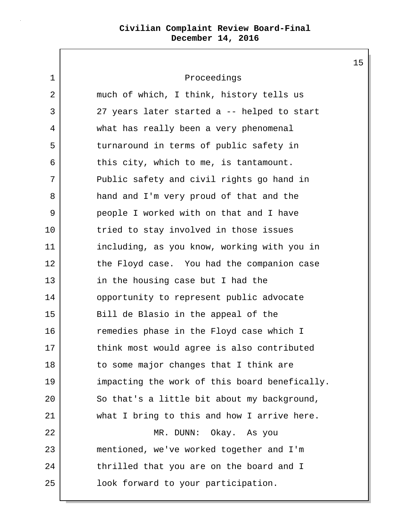1 Proceedings

| 2  | much of which, I think, history tells us      |
|----|-----------------------------------------------|
| 3  | 27 years later started a -- helped to start   |
| 4  | what has really been a very phenomenal        |
| 5  | turnaround in terms of public safety in       |
| 6  | this city, which to me, is tantamount.        |
| 7  | Public safety and civil rights go hand in     |
| 8  | hand and I'm very proud of that and the       |
| 9  | people I worked with on that and I have       |
| 10 | tried to stay involved in those issues        |
| 11 | including, as you know, working with you in   |
| 12 | the Floyd case. You had the companion case    |
| 13 | in the housing case but I had the             |
| 14 | opportunity to represent public advocate      |
| 15 | Bill de Blasio in the appeal of the           |
| 16 | remedies phase in the Floyd case which I      |
| 17 | think most would agree is also contributed    |
| 18 | to some major changes that I think are        |
| 19 | impacting the work of this board benefically. |
| 20 | So that's a little bit about my background,   |
| 21 | what I bring to this and how I arrive here.   |
| 22 | MR. DUNN: Okay. As you                        |
| 23 | mentioned, we've worked together and I'm      |
| 24 | thrilled that you are on the board and I      |
| 25 | look forward to your participation.           |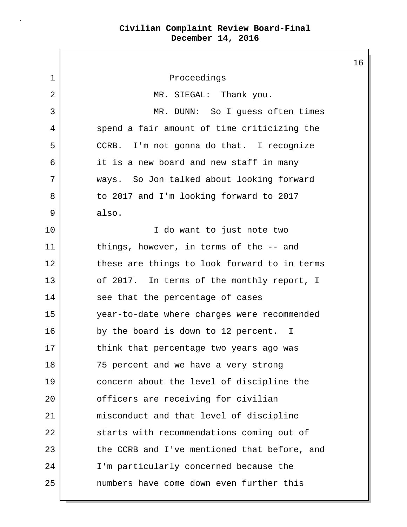1 Proceedings 2 MR. SIEGAL: Thank you. 3 | MR. DUNN: So I quess often times 4 spend a fair amount of time criticizing the 5 CCRB. I'm not gonna do that. I recognize 6 it is a new board and new staff in many 7 ways. So Jon talked about looking forward 8 to 2017 and I'm looking forward to 2017 9 also. 10 I do want to just note two 11 things, however, in terms of the -- and 12 these are things to look forward to in terms 13 of 2017. In terms of the monthly report, I 14 see that the percentage of cases 15 year-to-date where charges were recommended 16 by the board is down to 12 percent. I 17 think that percentage two years ago was 18 75 percent and we have a very strong 19 concern about the level of discipline the 20 officers are receiving for civilian 21 misconduct and that level of discipline 22 starts with recommendations coming out of 23 the CCRB and I've mentioned that before, and 24 I'm particularly concerned because the 25 numbers have come down even further this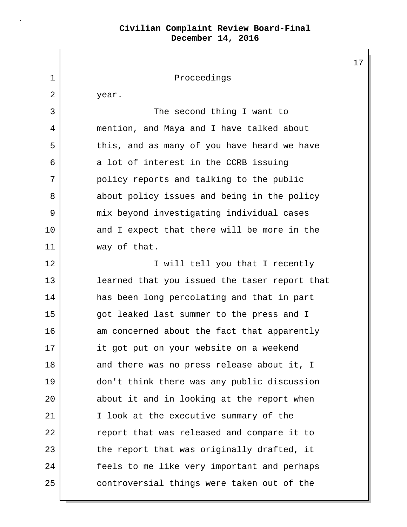|    |                                               | 1 |
|----|-----------------------------------------------|---|
| 1  | Proceedings                                   |   |
| 2  | year.                                         |   |
| 3  | The second thing I want to                    |   |
| 4  | mention, and Maya and I have talked about     |   |
| 5  | this, and as many of you have heard we have   |   |
| 6  | a lot of interest in the CCRB issuing         |   |
| 7  | policy reports and talking to the public      |   |
| 8  | about policy issues and being in the policy   |   |
| 9  | mix beyond investigating individual cases     |   |
| 10 | and I expect that there will be more in the   |   |
| 11 | way of that.                                  |   |
| 12 | I will tell you that I recently               |   |
| 13 | learned that you issued the taser report that |   |
| 14 | has been long percolating and that in part    |   |
| 15 | got leaked last summer to the press and I     |   |
| 16 | am concerned about the fact that apparently   |   |
| 17 | it got put on your website on a weekend       |   |
| 18 | and there was no press release about it, I    |   |
| 19 | don't think there was any public discussion   |   |
| 20 | about it and in looking at the report when    |   |
| 21 | I look at the executive summary of the        |   |
| 22 | report that was released and compare it to    |   |
| 23 | the report that was originally drafted, it    |   |
| 24 | feels to me like very important and perhaps   |   |
| 25 | controversial things were taken out of the    |   |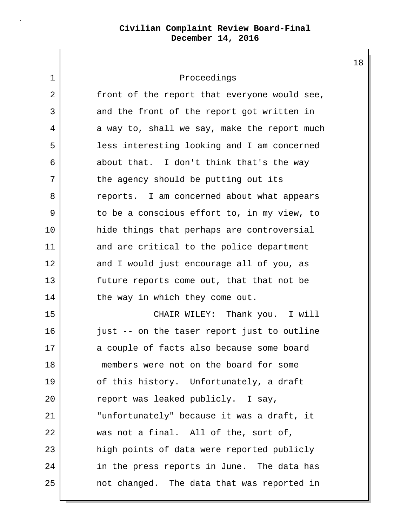# 1 Proceedings 2 front of the report that everyone would see, 3 and the front of the report got written in 4 a way to, shall we say, make the report much 5 less interesting looking and I am concerned 6 about that. I don't think that's the way 7 the agency should be putting out its 8 **e** reports. I am concerned about what appears 9 to be a conscious effort to, in my view, to 10 hide things that perhaps are controversial 11 and are critical to the police department 12 and I would just encourage all of you, as 13 future reports come out, that that not be 14 the way in which they come out. 15 CHAIR WILEY: Thank you. I will 16 just -- on the taser report just to outline 17 a couple of facts also because some board 18 members were not on the board for some 19 of this history. Unfortunately, a draft 20 report was leaked publicly. I say, 21 "unfortunately" because it was a draft, it 22 was not a final. All of the, sort of, 23 high points of data were reported publicly 24 in the press reports in June. The data has 25 not changed. The data that was reported in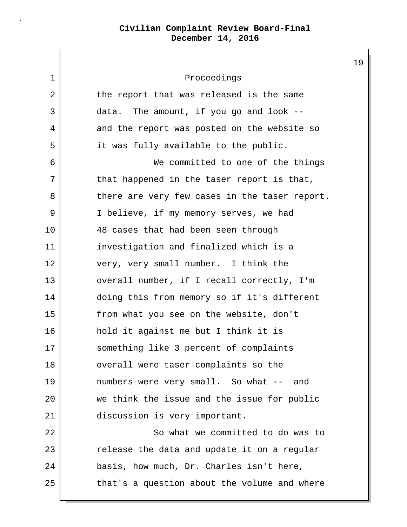| $\mathbf 1$ | Proceedings                                   |
|-------------|-----------------------------------------------|
| 2           | the report that was released is the same      |
| 3           | data. The amount, if you go and look $-$ -    |
| 4           | and the report was posted on the website so   |
| 5           | it was fully available to the public.         |
| 6           | We committed to one of the things             |
| 7           | that happened in the taser report is that,    |
| 8           | there are very few cases in the taser report. |
| 9           | I believe, if my memory serves, we had        |
| 10          | 48 cases that had been seen through           |
| 11          | investigation and finalized which is a        |
| 12          | very, very small number. I think the          |
| 13          | overall number, if I recall correctly, I'm    |
| 14          | doing this from memory so if it's different   |
| 15          | from what you see on the website, don't       |
| 16          | hold it against me but I think it is          |
| 17          | something like 3 percent of complaints        |
| 18          | overall were taser complaints so the          |
| 19          | numbers were very small. So what -- and       |
| 20          | we think the issue and the issue for public   |
| 21          | discussion is very important.                 |
| 22          | So what we committed to do was to             |
| 23          | release the data and update it on a regular   |
| 24          | basis, how much, Dr. Charles isn't here,      |
| 25          | that's a question about the volume and where  |
|             |                                               |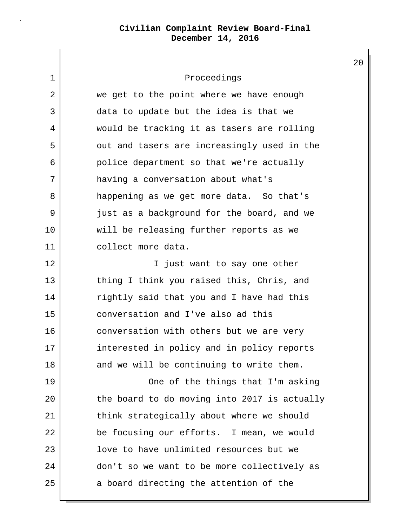1 Proceedings 2 we get to the point where we have enough 3 data to update but the idea is that we 4 would be tracking it as tasers are rolling 5 | out and tasers are increasingly used in the 6 police department so that we're actually 7 having a conversation about what's 8 happening as we get more data. So that's 9 just as a background for the board, and we 10 will be releasing further reports as we 11 collect more data. 12 **I** iust want to say one other 13 thing I think you raised this, Chris, and 14 rightly said that you and I have had this 15 conversation and I've also ad this 16 conversation with others but we are very 17 interested in policy and in policy reports 18 and we will be continuing to write them. 19 | Cone of the things that I'm asking 20 the board to do moving into 2017 is actually 21 think strategically about where we should 22 be focusing our efforts. I mean, we would 23 **lack** love to have unlimited resources but we 24 don't so we want to be more collectively as 25 a board directing the attention of the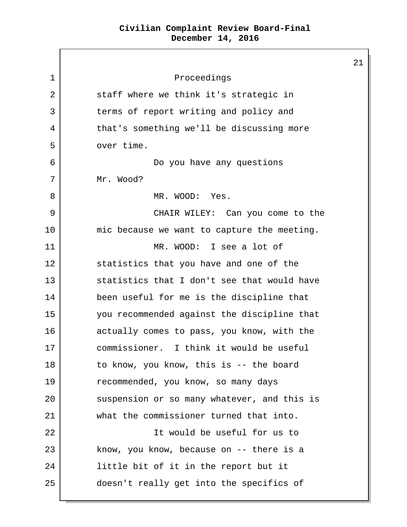21 1 Proceedings 2 staff where we think it's strategic in 3 terms of report writing and policy and 4 that's something we'll be discussing more 5 over time. 6 Do you have any questions 7 Mr. Wood? 8 MR. WOOD: Yes. 9 CHAIR WILEY: Can you come to the 10 mic because we want to capture the meeting. 11 MR. WOOD: I see a lot of 12 statistics that you have and one of the 13 statistics that I don't see that would have 14 been useful for me is the discipline that 15 you recommended against the discipline that 16 actually comes to pass, you know, with the 17 commissioner. I think it would be useful 18 to know, you know, this is -- the board 19 recommended, you know, so many days 20 suspension or so many whatever, and this is 21 what the commissioner turned that into. 22 | Constant in the U.S. of the useful for us to 23 know, you know, because on -- there is a 24 | little bit of it in the report but it 25 doesn't really get into the specifics of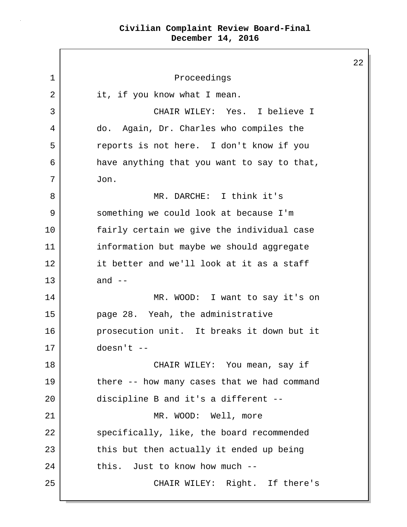$\Gamma$ 

|    |                                             | $\overline{2}$ |
|----|---------------------------------------------|----------------|
| 1  | Proceedings                                 |                |
| 2  | it, if you know what I mean.                |                |
| 3  | CHAIR WILEY: Yes. I believe I               |                |
| 4  | Again, Dr. Charles who compiles the<br>do.  |                |
| 5  | reports is not here. I don't know if you    |                |
| 6  | have anything that you want to say to that, |                |
| 7  | Jon.                                        |                |
| 8  | MR. DARCHE: I think it's                    |                |
| 9  | something we could look at because I'm      |                |
| 10 | fairly certain we give the individual case  |                |
| 11 | information but maybe we should aggregate   |                |
| 12 | it better and we'll look at it as a staff   |                |
| 13 | and $--$                                    |                |
| 14 | MR. WOOD: I want to say it's on             |                |
| 15 | page 28. Yeah, the administrative           |                |
| 16 | prosecution unit. It breaks it down but it  |                |
| 17 | $doesn't --$                                |                |
| 18 | CHAIR WILEY: You mean, say if               |                |
| 19 | there -- how many cases that we had command |                |
| 20 | discipline B and it's a different --        |                |
| 21 | MR. WOOD: Well, more                        |                |
| 22 | specifically, like, the board recommended   |                |
| 23 | this but then actually it ended up being    |                |
| 24 | this. Just to know how much --              |                |
| 25 | CHAIR WILEY: Right. If there's              |                |
|    |                                             |                |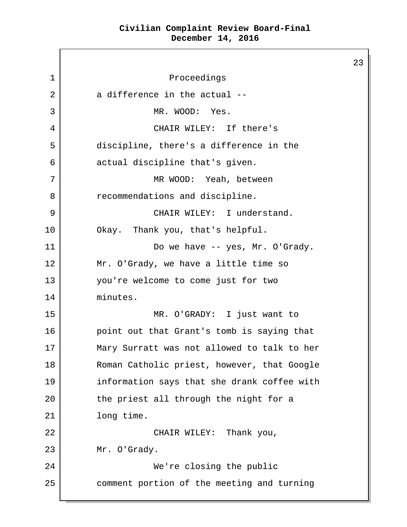$\mathsf{I}$ 

L

|             |                                             | 23 |
|-------------|---------------------------------------------|----|
| $\mathbf 1$ | Proceedings                                 |    |
| 2           | a difference in the actual --               |    |
| 3           | MR. WOOD: Yes.                              |    |
| 4           | CHAIR WILEY: If there's                     |    |
| 5           | discipline, there's a difference in the     |    |
| 6           | actual discipline that's given.             |    |
| 7           | MR WOOD: Yeah, between                      |    |
| 8           | recommendations and discipline.             |    |
| 9           | CHAIR WILEY: I understand.                  |    |
| 10          | Okay. Thank you, that's helpful.            |    |
| 11          | Do we have -- yes, Mr. O'Grady.             |    |
| 12          | Mr. O'Grady, we have a little time so       |    |
| 13          | you're welcome to come just for two         |    |
| 14          | minutes.                                    |    |
| 15          | MR. O'GRADY: I just want to                 |    |
| 16          | point out that Grant's tomb is saying that  |    |
| 17          | Mary Surratt was not allowed to talk to her |    |
| 18          | Roman Catholic priest, however, that Google |    |
| 19          | information says that she drank coffee with |    |
| 20          | the priest all through the night for a      |    |
| 21          | long time.                                  |    |
| 22          | CHAIR WILEY: Thank you,                     |    |
| 23          | Mr. O'Grady.                                |    |
| 24          | We're closing the public                    |    |
| 25          | comment portion of the meeting and turning  |    |
|             |                                             |    |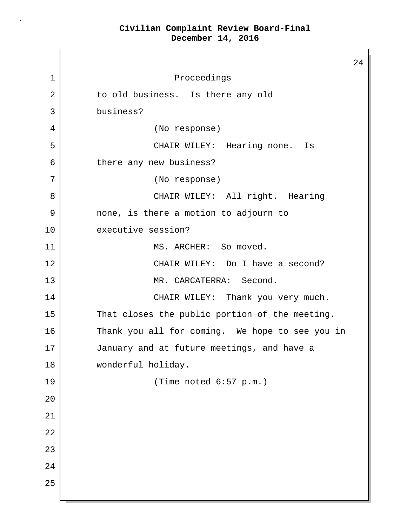24 1 Proceedings 2 to old business. Is there any old 3 business? 4 (No response) 5 CHAIR WILEY: Hearing none. Is 6 there any new business? 7 (No response) 8 CHAIR WILEY: All right. Hearing 9 none, is there a motion to adjourn to 10 executive session? 11 MS. ARCHER: So moved. 12 CHAIR WILEY: Do I have a second? 13 MR. CARCATERRA: Second. 14 CHAIR WILEY: Thank you very much. 15 That closes the public portion of the meeting. 16 Thank you all for coming. We hope to see you in 17 January and at future meetings, and have a 18 | wonderful holiday. 19 (Time noted 6:57 p.m.) 20 21 22 23 24 25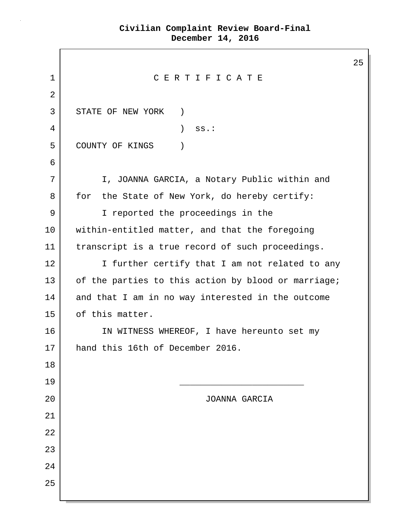|              |                                                     | 25 |  |
|--------------|-----------------------------------------------------|----|--|
| 1            | CERTIFICATE                                         |    |  |
| 2            |                                                     |    |  |
| $\mathsf{3}$ | STATE OF NEW YORK<br>$\left( \right)$               |    |  |
| 4            | $\lambda$<br>$ss.$ :                                |    |  |
| 5            | COUNTY OF KINGS<br>$\mathcal{C}$                    |    |  |
| 6            |                                                     |    |  |
| 7            | I, JOANNA GARCIA, a Notary Public within and        |    |  |
| 8            | for<br>the State of New York, do hereby certify:    |    |  |
| 9            | I reported the proceedings in the                   |    |  |
| 10           | within-entitled matter, and that the foregoing      |    |  |
| 11           | transcript is a true record of such proceedings.    |    |  |
| 12           | I further certify that I am not related to any      |    |  |
| 13           | of the parties to this action by blood or marriage; |    |  |
| 14           | and that I am in no way interested in the outcome   |    |  |
| 15           | of this matter.                                     |    |  |
| 16           | IN WITNESS WHEREOF, I have hereunto set my          |    |  |
| 17           | hand this 16th of December 2016                     |    |  |
| 18           |                                                     |    |  |
| 19           |                                                     |    |  |
| 20           | JOANNA GARCIA                                       |    |  |
| 21           |                                                     |    |  |
| 22           |                                                     |    |  |
| 23           |                                                     |    |  |
| 24           |                                                     |    |  |
| 25           |                                                     |    |  |
|              |                                                     |    |  |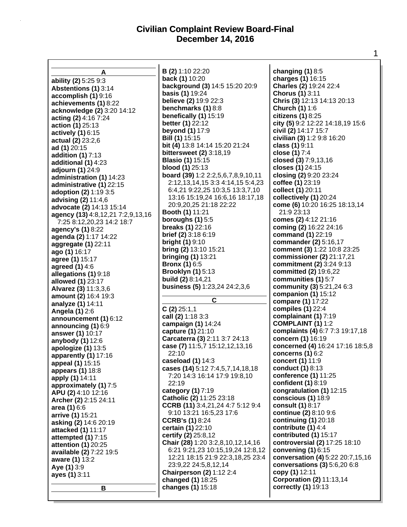$\Gamma$ 

| А                                 | <b>B</b> (2) 1:10 22:20                 | changing $(1)$ 8:5               |
|-----------------------------------|-----------------------------------------|----------------------------------|
|                                   | back (1) 10:20                          | charges (1) 16:15                |
| ability (2) 5:25 9:3              | background (3) 14:5 15:20 20:9          | Charles (2) 19:24 22:4           |
| <b>Abstentions (1) 3:14</b>       | <b>basis (1)</b> 19:24                  | Chorus (1) 3:11                  |
| accomplish (1) 9:16               | believe (2) 19:9 22:3                   | Chris (3) 12:13 14:13 20:13      |
| achievements (1) 8:22             |                                         |                                  |
| acknowledge (2) 3:20 14:12        | benchmarks (1) 8:8                      | <b>Church (1) 1:6</b>            |
| acting (2) 4:16 7:24              | benefically (1) 15:19                   | citizens $(1)$ 8:25              |
| action (1) 25:13                  | better (1) 22:12                        | city (5) 9:2 12:22 14:18,19 15:6 |
| actively (1) 6:15                 | beyond (1) 17:9                         | civil (2) 14:17 15:7             |
| actual (2) 23:2,6                 | <b>Bill (1)</b> 15:15                   | civilian (3) 1:2 9:8 16:20       |
| ad (1) 20:15                      | bit (4) 13:8 14:14 15:20 21:24          | class (1) 9:11                   |
| addition (1) 7:13                 | bittersweet (2) 3:18,19                 | close (1) 7:4                    |
| additional (1) 4:23               | <b>Blasio (1) 15:15</b>                 | closed (3) 7:9,13,16             |
| adjourn (1) 24:9                  | <b>blood (1) 25:13</b>                  | closes (1) 24:15                 |
| administration (1) 14:23          | board (39) 1:2 2:2,5,6,7,8,9,10,11      | closing (2) 9:20 23:24           |
| administrative (1) 22:15          | 2:12, 13, 14, 15 3:3 4: 14, 15 5: 4, 23 | coffee (1) 23:19                 |
|                                   | 6:4,21 9:22,25 10:3,5 13:3,7,10         | collect (1) 20:11                |
| adoption (2) 1:19 3:5             | 13:16 15:19,24 16:6,16 18:17,18         | collectively (1) 20:24           |
| advising (2) 11:4,6               | 20:9,20,25 21:18 22:22                  | come (6) 10:20 16:25 18:13,14    |
| advocate (2) 14:13 15:14          | Booth (1) 11:21                         | 21:9 23:13                       |
| agency (13) 4:8,12,21 7:2,9,13,16 | boroughs $(1)$ 5:5                      | comes (2) 4:12 21:16             |
| 7:25 8:12,20,23 14:2 18:7         |                                         |                                  |
| agency's (1) 8:22                 | breaks (1) 22:16                        | coming (2) 16:22 24:16           |
| agenda (2) 1:17 14:22             | <b>brief (2)</b> 3:18 6:19              | command (1) 22:19                |
| aggregate (1) 22:11               | bright $(1)$ 9:10                       | commander (2) 5:16,17            |
| ago (1) 16:17                     | bring (2) 13:10 15:21                   | comment (3) 1:22 10:8 23:25      |
| agree (1) 15:17                   | bringing $(1)$ 13:21                    | commissioner (2) 21:17,21        |
| agreed (1) 4:6                    | <b>Bronx (1) 6:5</b>                    | commitment (2) 3:24 9:13         |
| allegations (1) 9:18              | <b>Brooklyn (1)</b> 5:13                | committed (2) 19:6,22            |
| allowed (1) 23:17                 | build (2) 8:14,21                       | communities (1) 5:7              |
| Alvarez (3) 11:3,3,6              | <b>business (5)</b> 1:23,24 24:2,3,6    | community (3) 5:21,24 6:3        |
| amount (2) 16:4 19:3              |                                         | companion $(1)$ 15:12            |
| analyze (1) 14:11                 | C                                       | compare (1) 17:22                |
| <b>Angela (1) 2:6</b>             | $C(2)$ 25:1,1                           | compiles (1) 22:4                |
|                                   | call (2) 1:18 3:3                       | complainant (1) 7:19             |
| announcement (1) 6:12             | campaign (1) 14:24                      | <b>COMPLAINT (1) 1:2</b>         |
| announcing (1) 6:9                | capture (1) 21:10                       | complaints (4) 6:7 7:3 19:17,18  |
| answer (1) 10:17                  | Carcaterra (3) 2:11 3:7 24:13           | concern (1) 16:19                |
| anybody (1) 12:6                  | case (7) 11:5,7 15:12,12,13,16          | concerned (4) 16:24 17:16 18:5,8 |
| apologize (1) 13:5                | 22:10                                   | concerns $(1)$ 6:2               |
| apparently (1) 17:16              | caseload (1) 14:3                       | concert (1) 11:9                 |
| appeal (1) 15:15                  |                                         | conduct (1) 8:13                 |
| appears (1) 18:8                  | cases (14) 5:12 7:4,5,7,14,18,18        |                                  |
| apply (1) 14:11                   | 7:20 14:3 16:14 17:9 19:8,10            | conference (1) 11:25             |
| approximately (1) 7:5             | 22:19                                   | confident (1) 8:19               |
| APU (2) 4:10 12:16                | category (1) 7:19                       | congratulation (1) 12:15         |
| Archer (2) 2:15 24:11             | Catholic (2) 11:25 23:18                | conscious (1) 18:9               |
| area (1) 6:6                      | CCRB (11) 3:4,21,24 4:7 5:12 9:4        | consult (1) 8:17                 |
| arrive (1) 15:21                  | 9:10 13:21 16:5,23 17:6                 | continue (2) 8:10 9:6            |
| asking (2) 14:6 20:19             | <b>CCRB's (1)</b> 8:24                  | continuing $(1)$ 20:18           |
| attacked (1) 11:17                | certain (1) 22:10                       | contribute (1) 4:4               |
| attempted (1) 7:15                | certify (2) 25:8,12                     | contributed (1) 15:17            |
| attention (1) 20:25               | Chair (28) 1:20 3:2,8,10,12,14,16       | controversial (2) 17:25 18:10    |
| available (2) 7:22 19:5           | 6:21 9:21,23 10:15,19,24 12:8,12        | convening (1) 6:15               |
| aware (1) 13:2                    | 12:21 18:15 21:9 22:3,18,25 23:4        | conversation (4) 5:22 20:7,15,16 |
|                                   | 23:9,22 24:5,8,12,14                    | conversations (3) 5:6,20 6:8     |
| Aye (1) 3:9                       | <b>Chairperson (2) 1:12 2:4</b>         | copy (1) 12:11                   |
| ayes (1) 3:11                     | changed (1) 18:25                       | <b>Corporation (2) 11:13,14</b>  |
|                                   | changes (1) 15:18                       | correctly (1) 19:13              |
| В                                 |                                         |                                  |
|                                   |                                         |                                  |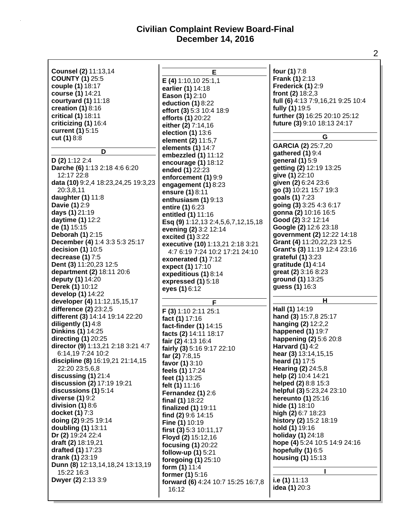| Counsel (2) 11:13,14                                     | Е                                  | four (1) 7:8                         |
|----------------------------------------------------------|------------------------------------|--------------------------------------|
| <b>COUNTY (1) 25:5</b>                                   | <b>E</b> (4) 1:10,10 25:1,1        | Frank (1) 2:13                       |
| couple (1) 18:17                                         | earlier (1) 14:18                  | Frederick (1) 2:9                    |
| course (1) 14:21                                         | Eason (1) 2:10                     | front (2) 18:2,3                     |
| courtyard (1) 11:18                                      | eduction (1) 8:22                  | full (6) 4:13 7:9,16,21 9:25 10:4    |
| creation $(1)$ 8:16                                      | effort (3) 5:3 10:4 18:9           | fully (1) 19:5                       |
| critical (1) 18:11                                       | efforts (1) 20:22                  | further (3) 16:25 20:10 25:12        |
| criticizing (1) 16:4                                     | either (2) 7:14,16                 | future (3) 9:10 18:13 24:17          |
| current (1) 5:15                                         | election (1) 13:6                  |                                      |
| cut (1) 8:8                                              | element (2) 11:5,7                 | G                                    |
|                                                          | elements (1) 14:7                  | GARCIA (2) 25:7,20                   |
| D                                                        | embezzled (1) 11:12                | gathered (1) 9:4                     |
| $D(2)$ 1:12 2:4                                          | encourage (1) 18:12                | general (1) 5:9                      |
| Darche (6) 1:13 2:18 4:6 6:20                            | ended (1) 22:23                    | getting (2) 12:19 13:25              |
| 12:17 22:8                                               | enforcement (1) 9:9                | give (1) 22:10                       |
| data (10) 9:2,4 18:23,24,25 19:3,23                      | engagement (1) 8:23                | given (2) 6:24 23:6                  |
| 20:3,8,11                                                |                                    | go (3) 10:21 15:7 19:3               |
| daughter (1) 11:8                                        | ensure (1) 8:11                    | goals (1) 7:23                       |
| Davie (1) 2:9                                            | enthusiasm (1) 9:13                | going (3) 3:25 4:3 6:17              |
| days (1) 21:19                                           | entire (1) 6:23                    | gonna (2) 10:16 16:5                 |
| daytime (1) 12:2                                         | entitled (1) 11:16                 | Good (2) 3:2 12:14                   |
| de (1) 15:15                                             | Esq (9) 1:12,13 2:4,5,6,7,12,15,18 | Google (2) 12:6 23:18                |
| Deborah (1) 2:15                                         | evening (2) 3:2 12:14              | government (2) 12:22 14:18           |
| December (4) 1:4 3:3 5:3 25:17                           | excited (1) 3:22                   | Grant (4) 11:20,22,23 12:5           |
| decision $(1)$ 10:5                                      | executive (10) 1:13,21 2:18 3:21   | Grant's (3) 11:19 12:4 23:16         |
| decrease (1) 7:5                                         | 4:7 6:19 7:24 10:2 17:21 24:10     | grateful (1) 3:23                    |
| Dent (3) 11:20,23 12:5                                   | exonerated (1) 7:12                | gratitude (1) 4:14                   |
| department (2) 18:11 20:6                                | expect (1) 17:10                   | great (2) 3:16 8:23                  |
|                                                          | expeditious (1) 8:14               |                                      |
|                                                          |                                    |                                      |
| deputy (1) 14:20                                         | expressed (1) 5:18                 | ground (1) 13:25                     |
| Derek (1) 10:12                                          | eyes (1) 6:12                      | guess (1) 16:3                       |
| develop (1) 14:22                                        | F                                  | Η                                    |
| developer (4) 11:12, 15, 15, 17                          |                                    | Hall (1) 14:19                       |
| difference (2) 23:2,5<br>different (3) 14:14 19:14 22:20 | F (3) 1:10 2:11 25:1               |                                      |
|                                                          | fact (1) 17:16                     | hand (3) 15:7,8 25:17                |
| diligently $(1)$ 4:8<br><b>Dinkins (1) 14:25</b>         | fact-finder (1) 14:15              | hanging (2) 12:2,2                   |
|                                                          | facts (2) 14:11 18:17              | happened (1) 19:7                    |
| directing (1) 20:25                                      | fair (2) 4:13 16:4                 | happening (2) 5:6 20:8               |
| director (9) 1:13,21 2:18 3:21 4:7<br>6:14,19 7:24 10:2  | fairly (3) 5:16 9:17 22:10         | Harvard $(1)$ 4:2                    |
|                                                          | far (2) 7:8,15                     | hear (3) 13:14, 15, 15               |
| discipline (8) 16:19,21 21:14,15<br>22:20 23:5,6,8       | favor (1) 3:10                     | heard (1) 17:5<br>Hearing (2) 24:5,8 |
| discussing (1) 21:4                                      | feels (1) 17:24                    | help (2) 10:4 14:21                  |
| discussion (2) 17:19 19:21                               | feet (1) 13:25                     | helped (2) 8:8 15:3                  |
| discussions (1) 5:14                                     | felt (1) 11:16                     | helpful (3) 5:23,24 23:10            |
| diverse (1) 9:2                                          | Fernandez (1) 2:6                  | hereunto (1) 25:16                   |
| division $(1)$ 8:6                                       | final $(1)$ 18:22                  | hide (1) 18:10                       |
| docket (1) 7:3                                           | finalized (1) 19:11                | high (2) 6:7 18:23                   |
| doing (2) 9:25 19:14                                     | find (2) 9:6 14:15                 | history (2) 15:2 18:19               |
| doubling (1) 13:11                                       | <b>Fine (1) 10:19</b>              | hold (1) 19:16                       |
| Dr (2) 19:24 22:4                                        | first (3) 5:3 10:11,17             | holiday (1) 24:18                    |
| draft (2) 18:19,21                                       | Floyd (2) 15:12,16                 | hope (4) 5:24 10:5 14:9 24:16        |
| drafted (1) 17:23                                        | focusing (1) 20:22                 | hopefully (1) 6:5                    |
| drank (1) 23:19                                          | follow-up (1) 5:21                 | housing (1) 15:13                    |
| Dunn (8) 12:13,14,18,24 13:13,19                         | foregoing (1) 25:10                |                                      |
| 15:22 16:3                                               | form (1) 11:4<br>former (1) 5:16   |                                      |
| Dwyer (2) 2:13 3:9                                       | forward (6) 4:24 10:7 15:25 16:7,8 | i.e (1) 11:13                        |
|                                                          | 16:12                              | idea (1) 20:3                        |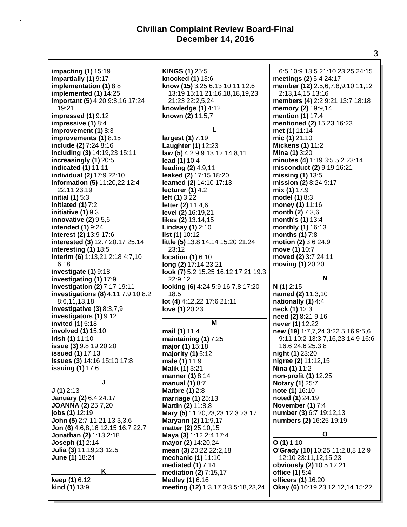| <b>impacting (1) 15:19</b>         | KINGS (1) 25:5                      | 6:5 10:9 13:5 21:10 23:25 24:15   |
|------------------------------------|-------------------------------------|-----------------------------------|
| impartially (1) 9:17               | knocked (1) 13:6                    | meetings (2) 5:4 24:17            |
| implementation (1) 8:8             | know (15) 3:25 6:13 10:11 12:6      | member (12) 2:5,6,7,8,9,10,11,12  |
| implemented (1) 14:25              | 13:19 15:11 21:16,18,18,19,23       | 2:13,14,15 13:16                  |
| important (5) 4:20 9:8,16 17:24    | 21:23 22:2,5,24                     | members (4) 2:2 9:21 13:7 18:18   |
| 19:21                              | knowledge (1) 4:12                  | memory (2) 19:9,14                |
| impressed (1) 9:12                 | known (2) 11:5,7                    | mention (1) 17:4                  |
| impressive (1) 8:4                 |                                     | mentioned (2) 15:23 16:23         |
| improvement (1) 8:3                |                                     | met (1) 11:14                     |
| improvements (1) 8:15              | largest (1) 7:19                    | mic (1) 21:10                     |
| include (2) 7:24 8:16              | Laughter (1) 12:23                  | <b>Mickens (1) 11:2</b>           |
| including (3) 14:19,23 15:11       | law (5) 4:2 9:9 13:12 14:8,11       | <b>Mina (1) 3:20</b>              |
| increasingly (1) 20:5              | lead (1) 10:4                       | minutes (4) 1:19 3:5 5:2 23:14    |
| indicated (1) 11:11                | leading (2) 4:9,11                  | misconduct (2) 9:19 16:21         |
| individual (2) 17:9 22:10          | leaked (2) 17:15 18:20              | missing (1) 13:5                  |
| information (5) 11:20,22 12:4      | learned (2) 14:10 17:13             | mission (2) 8:24 9:17             |
| 22:11 23:19                        | lecturer $(1)$ 4:2                  | mix (1) 17:9                      |
| initial $(1)$ 5:3                  | left (1) 3:22                       | model (1) 8:3                     |
| initiated (1) 7:2                  | letter (2) 11:4,6                   | money (1) 11:16                   |
| initiative (1) 9:3                 | level (2) 16:19,21                  | month (2) 7:3,6                   |
| innovative (2) 9:5,6               | likes (2) 13:14,15                  | month's (1) 13:4                  |
| intended (1) 9:24                  | Lindsay (1) 2:10                    | monthly (1) 16:13                 |
|                                    |                                     | months (1) 7:8                    |
| interest (2) 13:9 17:6             | list (1) 10:12                      |                                   |
| interested (3) 12:7 20:17 25:14    | little (5) 13:8 14:14 15:20 21:24   | motion (2) 3:6 24:9               |
| interesting (1) 18:5               | 23:12                               | move (1) 10:7                     |
| interim (6) 1:13,21 2:18 4:7,10    | <b>location (1) 6:10</b>            | moved (2) 3:7 24:11               |
| 6:18                               | long (2) 17:14 23:21                | moving (1) 20:20                  |
| investigate (1) 9:18               | look (7) 5:2 15:25 16:12 17:21 19:3 |                                   |
| investigating (1) 17:9             | 22:9,12                             | N                                 |
|                                    |                                     |                                   |
| investigation (2) 7:17 19:11       | looking (6) 4:24 5:9 16:7,8 17:20   | N(1)2:15                          |
| investigations (8) 4:11 7:9,10 8:2 | 18:5                                | named (2) 11:3,10                 |
| 8:6,11,13,18                       | lot (4) 4:12,22 17:6 21:11          | nationally (1) 4:4                |
| investigative $(3)$ 8:3,7,9        | love (1) 20:23                      | neck (1) 12:3                     |
| investigators (1) 9:12             |                                     | need (2) 8:21 9:16                |
| invited (1) 5:18                   | M                                   | never (1) 12:22                   |
| involved (1) 15:10                 | mail (1) 11:4                       | new (19) 1:7,7,24 3:22 5:16 9:5,6 |
| <b>Irish (1)</b> 11:10             | maintaining (1) 7:25                | 9:11 10:2 13:3,7,16,23 14:9 16:6  |
| issue (3) 9:8 19:20,20             | major (1) 15:18                     | 16:6 24:6 25:3,8                  |
| issued (1) 17:13                   | majority $(1)$ 5:12                 | night (1) 23:20                   |
| issues (3) 14:16 15:10 17:8        | male (1) 11:9                       | nigree (2) 11:12,15               |
| <b>issuing (1) 17:6</b>            | <b>Malik (1) 3:21</b>               | Nina (1) 11:2                     |
|                                    | manner (1) 8:14                     | non-profit (1) 12:25              |
| J                                  | manual $(1)$ 8:7                    | <b>Notary (1) 25:7</b>            |
| J(1)2:13                           | <b>Marbre (1) 2:8</b>               | note (1) 16:10                    |
| January (2) 6:4 24:17              | marriage (1) 25:13                  | noted (1) 24:19                   |
| <b>JOANNA (2) 25:7,20</b>          | Martin (2) 11:8,8                   | November (1) 7:4                  |
| jobs (1) 12:19                     | Mary (5) 11:20, 23, 23 12: 3 23: 17 | number (3) 6:7 19:12,13           |
| John (5) 2:7 11:21 13:3,3,6        | Maryann (2) 11:9,17                 | numbers (2) 16:25 19:19           |
| Jon (6) 4:6,8,16 12:15 16:7 22:7   | matter (2) 25:10,15                 |                                   |
| <b>Jonathan (2)</b> 1:13 2:18      | Maya (3) 1:12 2:4 17:4              | O                                 |
| <b>Joseph (1) 2:14</b>             | mayor (2) 14:20,24                  | O(1)1:10                          |
| Julia (3) 11:19,23 12:5            | mean (3) 20:22 22:2,18              | O'Grady (10) 10:25 11:2,8,8 12:9  |
| June (1) 18:24                     | mechanic (1) 11:10                  | 12:10 23:11,12,15,23              |
|                                    | mediated (1) 7:14                   | obviously (2) 10:5 12:21          |
| Κ                                  | mediation (2) 7:15,17               | office (1) 5:4                    |
| keep (1) 6:12                      | Medley (1) 6:16                     | officers (1) 16:20                |
| kind (1) 13:9                      | meeting (12) 1:3,17 3:3 5:18,23,24  | Okay (6) 10:19,23 12:12,14 15:22  |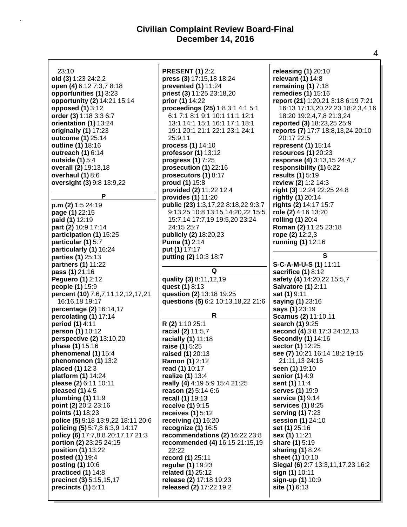| 23:10                              | <b>PRESENT (1) 2:2</b>              | releasing (1) 20:10                |
|------------------------------------|-------------------------------------|------------------------------------|
| old (3) 1:23 24:2,2                | press (3) 17:15,18 18:24            | relevant (1) 14:8                  |
| open (4) 6:12 7:3,7 8:18           | prevented (1) 11:24                 | remaining (1) 7:18                 |
|                                    |                                     |                                    |
| opportunities (1) 3:23             | priest (3) 11:25 23:18,20           | remedies (1) 15:16                 |
| opportunity (2) 14:21 15:14        | prior (1) 14:22                     | report (21) 1:20,21 3:18 6:19 7:21 |
| opposed (1) 3:12                   | proceedings (25) 1:8 3:1 4:1 5:1    | 16:13 17:13,20,22,23 18:2,3,4,16   |
| order (3) 1:18 3:3 6:7             | 6:1 7:1 8:1 9:1 10:1 11:1 12:1      | 18:20 19:2,4,7,8 21:3,24           |
| orientation (1) 13:24              | 13:1 14:1 15:1 16:1 17:1 18:1       | reported (3) 18:23,25 25:9         |
| originally (1) 17:23               | 19:1 20:1 21:1 22:1 23:1 24:1       | reports (7) 17:7 18:8,13,24 20:10  |
| outcome (1) 25:14                  | 25:9,11                             | 20:17 22:5                         |
| outline (1) 18:16                  | process (1) 14:10                   | represent (1) 15:14                |
| outreach (1) 6:14                  | professor (1) 13:12                 | resources (1) 20:23                |
| outside (1) 5:4                    | progress (1) 7:25                   | response (4) 3:13,15 24:4,7        |
| overall (2) 19:13,18               | prosecution (1) 22:16               | responsibility (1) 6:22            |
| overhaul (1) 8:6                   | prosecutors (1) 8:17                | results (1) 5:19                   |
| oversight (3) 9:8 13:9,22          | proud (1) 15:8                      | review (2) 1:2 14:3                |
|                                    | provided (2) 11:22 12:4             | right (3) 12:24 22:25 24:8         |
| P                                  | provides (1) 11:20                  | rightly (1) 20:14                  |
|                                    |                                     |                                    |
| $p.m(2)$ 1:5 24:19                 | public (23) 1:3,17,22 8:18,22 9:3,7 | rights (2) 14:17 15:7              |
| page (1) 22:15                     | 9:13,25 10:8 13:15 14:20,22 15:5    | role (2) 4:16 13:20                |
| paid (1) 12:19                     | 15:7,14 17:7,19 19:5,20 23:24       | rolling (1) 20:4                   |
| part (2) 10:9 17:14                | 24:15 25:7                          | Roman (2) 11:25 23:18              |
| participation (1) 15:25            | publicly (2) 18:20,23               | rope (2) 12:2,3                    |
| particular (1) 5:7                 | <b>Puma (1) 2:14</b>                | running (1) 12:16                  |
| particularly (1) 16:24             | put (1) 17:17                       |                                    |
| parties (1) 25:13                  | putting (2) 10:3 18:7               | S                                  |
| partners (1) 11:22                 |                                     | S-C-A-M-U-S (1) 11:11              |
| pass (1) 21:16                     | Q                                   | sacrifice (1) 8:12                 |
| <b>Peguero (1) 2:12</b>            | quality (3) 8:11, 12, 19            | safety (4) 14:20,22 15:5,7         |
| people (1) 15:9                    | quest (1) 8:13                      | <b>Salvatore (1) 2:11</b>          |
| percent (10) 7:6,7,11,12,12,17,21  | question (2) 13:18 19:25            | sat (1) 9:11                       |
| 16:16,18 19:17                     | questions (5) 6:2 10:13,18,22 21:6  | saying (1) 23:16                   |
| percentage (2) 16:14,17            |                                     | says (1) 23:19                     |
| percolating (1) 17:14              | R                                   | Scamus (2) 11:10,11                |
| period (1) 4:11                    | R (2) 1:10 25:1                     | search (1) 9:25                    |
|                                    |                                     |                                    |
| person (1) 10:12                   | racial (2) 11:5,7                   | second (4) 3:8 17:3 24:12,13       |
| perspective (2) 13:10,20           | racially (1) 11:18                  | <b>Secondly (1) 14:16</b>          |
| phase (1) 15:16                    | raise (1) 5:25                      | sector (1) 12:25                   |
| phenomenal (1) 15:4                | raised (1) 20:13                    | see (7) 10:21 16:14 18:2 19:15     |
| phenomenon (1) 13:2                | Ramon (1) 2:12                      | 21:11,13 24:16                     |
| placed (1) 12:3                    | read (1) 10:17                      | seen (1) 19:10                     |
| platform (1) 14:24                 | realize (1) 13:4                    | senior (1) 4:9                     |
| please (2) 6:11 10:11              | really (4) 4:19 5:9 15:4 21:25      | sent (1) 11:4                      |
| pleased $(1)$ 4:5                  | reason (2) 5:14 6:6                 | serves (1) 19:9                    |
| plumbing (1) 11:9                  | recall (1) 19:13                    | service (1) 9:14                   |
| point (2) 20:2 23:16               | receive (1) 9:15                    | services (1) 8:25                  |
| points (1) 18:23                   | receives $(1)$ 5:12                 | serving (1) 7:23                   |
| police (5) 9:18 13:9,22 18:11 20:6 | receiving (1) 16:20                 | session (1) 24:10                  |
| policing (5) 5:7,8 6:3,9 14:17     | recognize (1) 16:5                  | set (1) 25:16                      |
| policy (6) 17:7,8,8 20:17,17 21:3  | recommendations (2) 16:22 23:8      | sex (1) 11:21                      |
| portion (2) 23:25 24:15            | recommended (4) 16:15 21:15,19      | share (1) 5:19                     |
| position (1) 13:22                 | 22:22                               | sharing (1) 8:24                   |
| posted (1) 19:4                    |                                     | sheet (1) 10:10                    |
|                                    | record (1) 25:11                    |                                    |
| posting (1) 10:6                   | regular (1) 19:23                   | Siegal (6) 2:7 13:3,11,17,23 16:2  |
| practiced (1) 14:8                 | related (1) 25:12                   | sign (1) 10:11                     |
| precinct (3) 5:15,15,17            | release (2) 17:18 19:23             | sign-up (1) 10:9                   |
| precincts (1) 5:11                 | released (2) 17:22 19:2             | site (1) 6:13                      |
|                                    |                                     |                                    |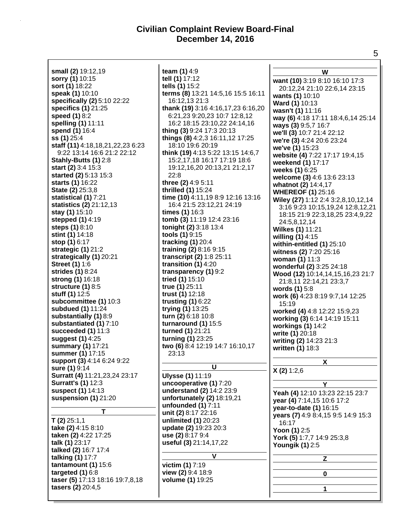**small (2)** 19:12,19 **sorry (1)** 10:15 **sort (1)** 18:22 **speak (1)** 10:10 **specifically (2)** 5:10 22:22 **specifics (1)** 21:25 **speed (1)** 8:2 **spelling (1)** 11:11 **spend (1)** 16:4 **ss (1)** 25:4 **staff (11)** 4:18,18,21,22,23 6:23 9:22 13:14 16:6 21:2 22:12 **Stahly-Butts (1)** 2:8 **start (2)** 3:4 15:3 **started (2)** 5:13 15:3 **starts (1)** 16:22 **State (2)** 25:3,8 **statistical (1)** 7:21 **statistics (2)** 21:12,13 **stay (1)** 15:10 **stepped (1)** 4:19 **steps (1)** 8:10 **stint (1)** 14:18 **stop (1)** 6:17 **strategic (1)** 21:2 **strategically (1)** 20:21 **Street (1)** 1:6 **strides (1)** 8:24 **strong (1)** 16:18 **structure (1)** 8:5 **stuff (1)** 12:5 **subcommittee (1)** 10:3 **subdued (1)** 11:24 **substantially (1)** 8:9 **substantiated (1)** 7:10 **succeeded (1)** 11:3 **suggest (1)** 4:25 **summary (1)** 17:21 **summer (1)** 17:15 **support (3)** 4:14 6:24 9:22 **sure (1)** 9:14 **Surratt (4)** 11:21,23,24 23:17 **Surratt's (1)** 12:3 **suspect (1)** 14:13 **suspension (1)** 21:20 **T T (2)** 25:1,1 **take (2)** 4:15 8:10 **taken (2)** 4:22 17:25 **talk (1)** 23:17 **talked (2)** 16:7 17:4 **talking (1)** 17:7 **tantamount (1)** 15:6 **targeted (1)** 6:8 **taser (5)** 17:13 18:16 19:7,8,18 **tasers (2)** 20:4,5

**team (1)** 4:9 **tell (1)** 17:12 **tells (1)** 15:2 **terms (8)** 13:21 14:5,16 15:5 16:11 16:12,13 21:3 **thank (19)** 3:16 4:16,17,23 6:16,20 6:21,23 9:20,23 10:7 12:8,12 16:2 18:15 23:10,22 24:14,16 **thing (3)** 9:24 17:3 20:13 **things (8)** 4:2,3 16:11,12 17:25 18:10 19:6 20:19 **think (19)** 4:13 5:22 13:15 14:6,7 15:2,17,18 16:17 17:19 18:6 19:12,16,20 20:13,21 21:2,17 22:8 **three (2)** 4:9 5:11 **thrilled (1)** 15:24 **time (10)** 4:11,19 8:9 12:16 13:16 16:4 21:5 23:12,21 24:19 **times (1)** 16:3 **tomb (3)** 11:19 12:4 23:16 **tonight (2)** 3:18 13:4 **tools (1)** 9:15 **tracking (1)** 20:4 **training (2)** 8:16 9:15 **transcript (2)** 1:8 25:11 **transition (1)** 4:20 **transparency (1)** 9:2 **tried (1)** 15:10 **true (1)** 25:11 **trust (1)** 12:18 **trusting (1)** 6:22 **trying (1)** 13:25 **turn (2)** 6:18 10:8 **turnaround (1)** 15:5 **turned (1)** 21:21 **turning (1)** 23:25 **two (6)** 8:4 12:19 14:7 16:10,17 23:13 **U Ulysse (1)** 11:19 **uncooperative (1)** 7:20 **understand (2)** 14:2 23:9 **unfortunately (2)** 18:19,21 **unfounded (1)** 7:11 **unit (2)** 8:17 22:16 **unlimited (1)** 20:23 **update (2)** 19:23 20:3 **use (2)** 8:17 9:4 **useful (3)** 21:14,17,22 **V victim (1)** 7:19 **view (2)** 9:4 18:9 **volume (1)** 19:25

**W want (10)** 3:19 8:10 16:10 17:3 20:12,24 21:10 22:6,14 23:15 **wants (1)** 10:10 **Ward (1)** 10:13 **wasn't (1)** 11:16 **way (6)** 4:18 17:11 18:4,6,14 25:14 **ways (3)** 9:5,7 16:7 **we'll (3)** 10:7 21:4 22:12 **we're (3)** 4:24 20:6 23:24 **we've (1)** 15:23 **website (4)** 7:22 17:17 19:4,15 **weekend (1)** 17:17 **weeks (1)** 6:25 **welcome (3)** 4:6 13:6 23:13 **whatnot (2)** 14:4,17 **WHEREOF (1)** 25:16 **Wiley (27)** 1:12 2:4 3:2,8,10,12,14 3:16 9:23 10:15,19,24 12:8,12,21 18:15 21:9 22:3,18,25 23:4,9,22 24:5,8,12,14 **Wilkes (1)** 11:21 **willing (1)** 4:15 **within-entitled (1)** 25:10 **witness (2)** 7:20 25:16 **woman (1)** 11:3 **wonderful (2)** 3:25 24:18 **Wood (12)** 10:14,14,15,16,23 21:7 21:8,11 22:14,21 23:3,7 **words (1)** 5:8 **work (6)** 4:23 8:19 9:7,14 12:25 15:19 **worked (4)** 4:8 12:22 15:9,23 **working (3)** 6:14 14:19 15:11 **workings (1)** 14:2 **write (1)** 20:18 **writing (2)** 14:23 21:3 **written (1)** 18:3 **X X (2)** 1:2,6 **Y Yeah (4)** 12:10 13:23 22:15 23:7 **year (4)** 7:14,15 10:6 17:2 **year-to-date (1)** 16:15 **years (7)** 4:9 8:4,15 9:5 14:9 15:3 16:17 **Yoon (1)** 2:5 **York (5)** 1:7,7 14:9 25:3,8 **Youngik (1)** 2:5 **Z 0 1**